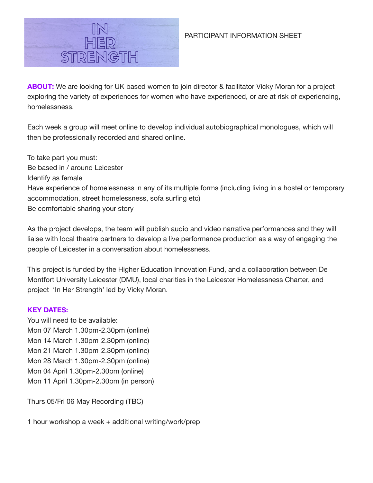

# PARTICIPANT INFORMATION SHEET

**ABOUT:** We are looking for UK based women to join director & facilitator Vicky Moran for a project exploring the variety of experiences for women who have experienced, or are at risk of experiencing, homelessness.

Each week a group will meet online to develop individual autobiographical monologues, which will then be professionally recorded and shared online.

To take part you must: Be based in / around Leicester Identify as female Have experience of homelessness in any of its multiple forms (including living in a hostel or temporary accommodation, street homelessness, sofa surfing etc) Be comfortable sharing your story

As the project develops, the team will publish audio and video narrative performances and they will liaise with local theatre partners to develop a live performance production as a way of engaging the people of Leicester in a conversation about homelessness.

This project is funded by the Higher Education Innovation Fund, and a collaboration between De Montfort University Leicester (DMU), local charities in the Leicester Homelessness Charter, and project 'In Her Strength' led by Vicky Moran.

# **KEY DATES:**

You will need to be available: Mon 07 March 1.30pm-2.30pm (online) Mon 14 March 1.30pm-2.30pm (online) Mon 21 March 1.30pm-2.30pm (online) Mon 28 March 1.30pm-2.30pm (online) Mon 04 April 1.30pm-2.30pm (online) Mon 11 April 1.30pm-2.30pm (in person)

Thurs 05/Fri 06 May Recording (TBC)

1 hour workshop a week + additional writing/work/prep